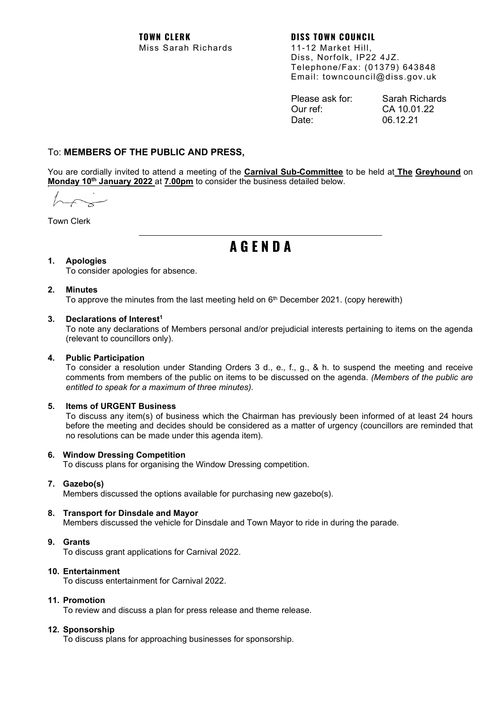**TOWN CLERK DISS TOWN COUNCIL** Miss Sarah Richards 11-12 Market Hill,

Diss, Norfolk, IP22 4JZ. Telephone/Fax: (01379) 643848 Email: towncouncil@diss.gov.uk

| Please ask for: | Sarah Richards |
|-----------------|----------------|
| Our ref:        | CA 10.01.22    |
| Date:           | 06.12.21       |

# To: **MEMBERS OF THE PUBLIC AND PRESS,**

You are cordially invited to attend a meeting of the **Carnival Sub-Committee** to be held at **The Greyhound** on **Monday 10th January 2022** at **7.00pm** to consider the business detailed below.

Town Clerk

# **A G E N D A**

# **1. Apologies**

To consider apologies for absence.

# **2. Minutes**

To approve the minutes from the last meeting held on  $6<sup>th</sup>$  December 2021. (copy herewith)

# **3. Declarations of Interest1**

To note any declarations of Members personal and/or prejudicial interests pertaining to items on the agenda (relevant to councillors only).

# **4. Public Participation**

To consider a resolution under Standing Orders 3 d., e., f., g., & h. to suspend the meeting and receive comments from members of the public on items to be discussed on the agenda. *(Members of the public are entitled to speak for a maximum of three minutes).*

# **5. Items of URGENT Business**

To discuss any item(s) of business which the Chairman has previously been informed of at least 24 hours before the meeting and decides should be considered as a matter of urgency (councillors are reminded that no resolutions can be made under this agenda item).

## **6. Window Dressing Competition**

To discuss plans for organising the Window Dressing competition.

# **7. Gazebo(s)**

Members discussed the options available for purchasing new gazebo(s).

## **8. Transport for Dinsdale and Mayor**

Members discussed the vehicle for Dinsdale and Town Mayor to ride in during the parade.

# **9. Grants**

To discuss grant applications for Carnival 2022.

## **10. Entertainment**

To discuss entertainment for Carnival 2022.

## **11. Promotion**

To review and discuss a plan for press release and theme release.

# **12. Sponsorship**

To discuss plans for approaching businesses for sponsorship.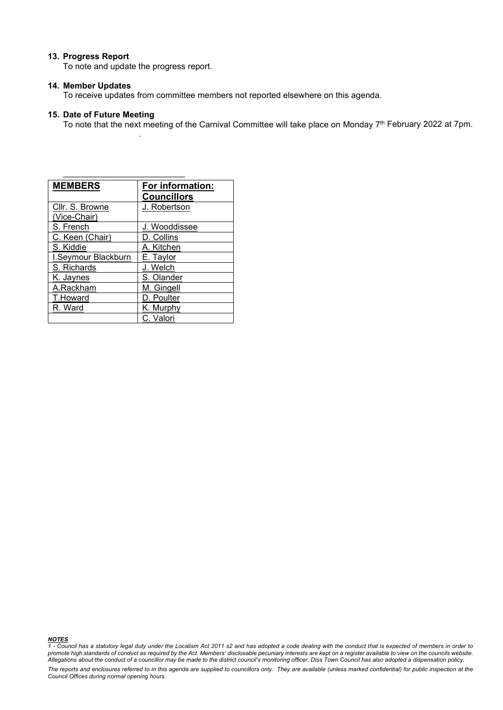### **13. Progress Report**

To note and update the progress report.

.

\_\_\_\_\_\_\_\_\_\_\_\_\_\_\_\_\_\_\_\_\_\_\_\_\_\_

### **14. Member Updates**

To receive updates from committee members not reported elsewhere on this agenda.

## **15. Date of Future Meeting**

To note that the next meeting of the Carnival Committee will take place on Monday 7<sup>th</sup> February 2022 at 7pm.

| <b>MEMBERS</b>      | For information:<br><b>Councillors</b> |
|---------------------|----------------------------------------|
| Cllr. S. Browne     | J. Robertson                           |
| (Vice-Chair)        |                                        |
| S. French           | J. Wooddissee                          |
| C. Keen (Chair)     | D. Collins                             |
| S. Kiddie           | A. Kitchen                             |
| I.Seymour Blackburn | E. Taylor                              |
| S. Richards         | J. Welch                               |
| K. Jaynes           | S. Olander                             |
| A.Rackham           | M. Gingell                             |
| T.Howard            | D. Poulter                             |
| R. Ward             | K. Murphy                              |
|                     | C. Valori                              |

*NOTES 1 - Council has a statutory legal duty under the Localism Act 2011 s2 and has adopted a code dealing with the conduct that is expected of members in order to promote high standards of conduct as required by the Act. Members' disclosable pecuniary interests are kept on a register available to view on the councils website. Allegations about the conduct of a councillor may be made to the district council's monitoring officer. Diss Town Council has also adopted a dispensation policy.*

*The reports and enclosures referred to in this agenda are supplied to councillors only. They are available (unless marked confidential) for public inspection at the Council Offices during normal opening hours.*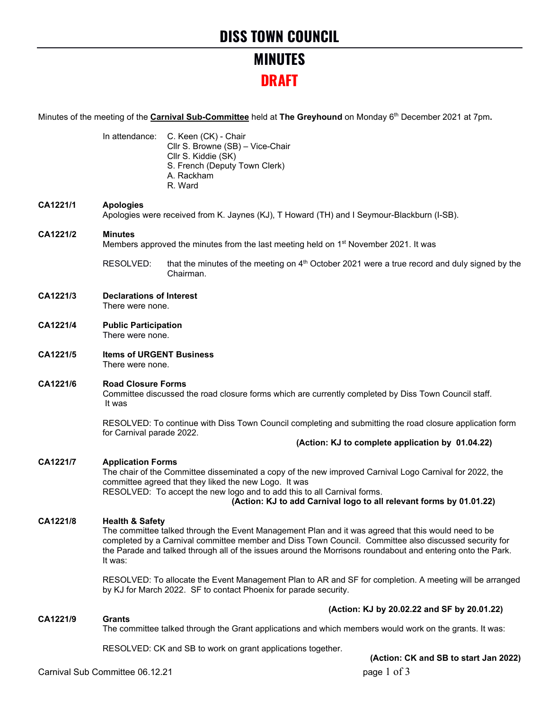# **MINUTES DRAFT**

Minutes of the meeting of the **Carnival Sub-Committee** held at **The Greyhound** on Monday 6<sup>th</sup> December 2021 at 7pm.

|          |                                                                                                                                                                                                                                                                                                                                                                      | In attendance: C. Keen (CK) - Chair<br>Cllr S. Browne (SB) - Vice-Chair<br>Cllr S. Kiddie (SK)<br>S. French (Deputy Town Clerk)<br>A. Rackham<br>R. Ward                    |                                                  |
|----------|----------------------------------------------------------------------------------------------------------------------------------------------------------------------------------------------------------------------------------------------------------------------------------------------------------------------------------------------------------------------|-----------------------------------------------------------------------------------------------------------------------------------------------------------------------------|--------------------------------------------------|
| CA1221/1 | <b>Apologies</b>                                                                                                                                                                                                                                                                                                                                                     | Apologies were received from K. Jaynes (KJ), T Howard (TH) and I Seymour-Blackburn (I-SB).                                                                                  |                                                  |
| CA1221/2 | <b>Minutes</b><br>Members approved the minutes from the last meeting held on 1 <sup>st</sup> November 2021. It was                                                                                                                                                                                                                                                   |                                                                                                                                                                             |                                                  |
|          | RESOLVED:                                                                                                                                                                                                                                                                                                                                                            | that the minutes of the meeting on $4th$ October 2021 were a true record and duly signed by the<br>Chairman.                                                                |                                                  |
| CA1221/3 | <b>Declarations of Interest</b><br>There were none.                                                                                                                                                                                                                                                                                                                  |                                                                                                                                                                             |                                                  |
| CA1221/4 | <b>Public Participation</b><br>There were none.                                                                                                                                                                                                                                                                                                                      |                                                                                                                                                                             |                                                  |
| CA1221/5 | <b>Items of URGENT Business</b><br>There were none.                                                                                                                                                                                                                                                                                                                  |                                                                                                                                                                             |                                                  |
| CA1221/6 | <b>Road Closure Forms</b><br>Committee discussed the road closure forms which are currently completed by Diss Town Council staff.<br>It was                                                                                                                                                                                                                          |                                                                                                                                                                             |                                                  |
|          | RESOLVED: To continue with Diss Town Council completing and submitting the road closure application form<br>for Carnival parade 2022.                                                                                                                                                                                                                                |                                                                                                                                                                             |                                                  |
|          |                                                                                                                                                                                                                                                                                                                                                                      |                                                                                                                                                                             | (Action: KJ to complete application by 01.04.22) |
| CA1221/7 | <b>Application Forms</b><br>The chair of the Committee disseminated a copy of the new improved Carnival Logo Carnival for 2022, the<br>committee agreed that they liked the new Logo. It was<br>RESOLVED: To accept the new logo and to add this to all Carnival forms.<br>(Action: KJ to add Carnival logo to all relevant forms by 01.01.22)                       |                                                                                                                                                                             |                                                  |
| CA1221/8 | <b>Health &amp; Safety</b><br>The committee talked through the Event Management Plan and it was agreed that this would need to be<br>completed by a Carnival committee member and Diss Town Council. Committee also discussed security for<br>the Parade and talked through all of the issues around the Morrisons roundabout and entering onto the Park.<br>It was: |                                                                                                                                                                             |                                                  |
|          |                                                                                                                                                                                                                                                                                                                                                                      | RESOLVED: To allocate the Event Management Plan to AR and SF for completion. A meeting will be arranged<br>by KJ for March 2022. SF to contact Phoenix for parade security. |                                                  |
|          | (Action: KJ by 20.02.22 and SF by 20.01.22)                                                                                                                                                                                                                                                                                                                          |                                                                                                                                                                             |                                                  |
| CA1221/9 | <b>Grants</b>                                                                                                                                                                                                                                                                                                                                                        | The committee talked through the Grant applications and which members would work on the grants. It was:                                                                     |                                                  |
|          |                                                                                                                                                                                                                                                                                                                                                                      | RESOLVED: CK and SB to work on grant applications together.                                                                                                                 | $(Aofion, CKand$ CD to start $In 20221$          |

**(Action: CK and SB to start Jan 2022)**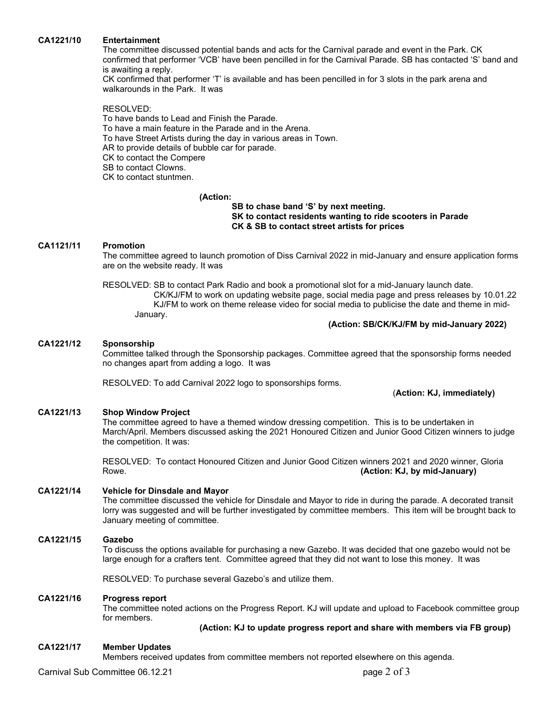### **CA1221/10 Entertainment**

The committee discussed potential bands and acts for the Carnival parade and event in the Park. CK confirmed that performer 'VCB' have been pencilled in for the Carnival Parade. SB has contacted 'S' band and is awaiting a reply.

CK confirmed that performer 'T' is available and has been pencilled in for 3 slots in the park arena and walkarounds in the Park. It was

RESOLVED:

To have bands to Lead and Finish the Parade. To have a main feature in the Parade and in the Arena. To have Street Artists during the day in various areas in Town. AR to provide details of bubble car for parade. CK to contact the Compere SB to contact Clowns. CK to contact stuntmen.

### **(Action:**

## **SB to chase band 'S' by next meeting. SK to contact residents wanting to ride scooters in Parade CK & SB to contact street artists for prices**

### **CA1121/11 Promotion**

The committee agreed to launch promotion of Diss Carnival 2022 in mid-January and ensure application forms are on the website ready. It was

RESOLVED: SB to contact Park Radio and book a promotional slot for a mid-January launch date. CK/KJ/FM to work on updating website page, social media page and press releases by 10.01.22 KJ/FM to work on theme release video for social media to publicise the date and theme in mid-January.

## **(Action: SB/CK/KJ/FM by mid-January 2022)**

### **CA1221/12 Sponsorship**

Committee talked through the Sponsorship packages. Committee agreed that the sponsorship forms needed no changes apart from adding a logo. It was

RESOLVED: To add Carnival 2022 logo to sponsorships forms.

(**Action: KJ, immediately)**

### **CA1221/13 Shop Window Project**

The committee agreed to have a themed window dressing competition. This is to be undertaken in March/April. Members discussed asking the 2021 Honoured Citizen and Junior Good Citizen winners to judge the competition. It was:

RESOLVED: To contact Honoured Citizen and Junior Good Citizen winners 2021 and 2020 winner, Gloria Rowe. **(Action: KJ, by mid-January)**

## **CA1221/14 Vehicle for Dinsdale and Mayor**

The committee discussed the vehicle for Dinsdale and Mayor to ride in during the parade. A decorated transit lorry was suggested and will be further investigated by committee members. This item will be brought back to January meeting of committee.

### **CA1221/15 Gazebo**

To discuss the options available for purchasing a new Gazebo. It was decided that one gazebo would not be large enough for a crafters tent. Committee agreed that they did not want to lose this money. It was

RESOLVED: To purchase several Gazebo's and utilize them.

#### **CA1221/16 Progress report**

The committee noted actions on the Progress Report. KJ will update and upload to Facebook committee group for members.

**(Action: KJ to update progress report and share with members via FB group)**

### **CA1221/17 Member Updates**

Members received updates from committee members not reported elsewhere on this agenda.